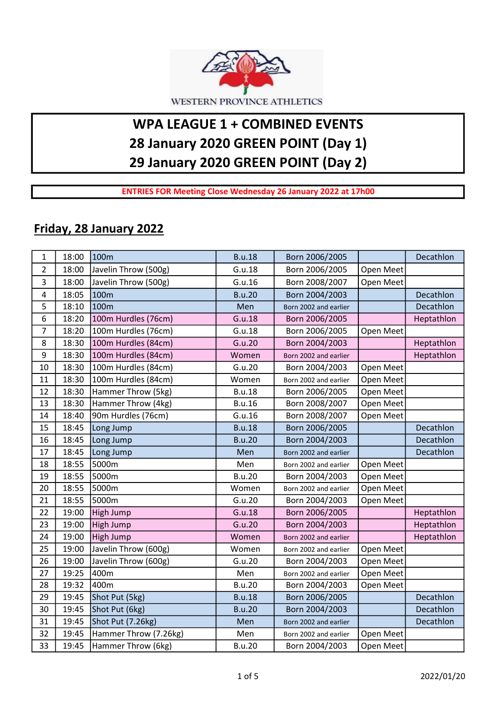

## WPA LEAGUE 1 + COMBINED EVENTS 28 January 2020 GREEN POINT (Day 1) 29 January 2020 GREEN POINT (Day 2)

ENTRIES FOR Meeting Close Wednesday 26 January 2022 at 17h00

## Friday, 28 January 2022

| $\mathbf{1}$            | 18:00 | 100m                  | <b>B.u.18</b> | Born 2006/2005        |           | Decathlon  |
|-------------------------|-------|-----------------------|---------------|-----------------------|-----------|------------|
| $\overline{2}$          | 18:00 | Javelin Throw (500g)  | G.u.18        | Born 2006/2005        | Open Meet |            |
| 3                       | 18:00 | Javelin Throw (500g)  | G.u.16        | Born 2008/2007        | Open Meet |            |
| $\overline{\mathbf{4}}$ | 18:05 | 100m                  | <b>B.u.20</b> | Born 2004/2003        |           | Decathlon  |
| 5                       | 18:10 | 100m                  | Men           | Born 2002 and earlier |           | Decathlon  |
| 6                       | 18:20 | 100m Hurdles (76cm)   | G.u.18        | Born 2006/2005        |           | Heptathlon |
| $\overline{7}$          | 18:20 | 100m Hurdles (76cm)   | G.u.18        | Born 2006/2005        | Open Meet |            |
| 8                       | 18:30 | 100m Hurdles (84cm)   | G.u.20        | Born 2004/2003        |           | Heptathlon |
| 9                       | 18:30 | 100m Hurdles (84cm)   | Women         | Born 2002 and earlier |           | Heptathlon |
| 10                      | 18:30 | 100m Hurdles (84cm)   | G.u.20        | Born 2004/2003        | Open Meet |            |
| 11                      | 18:30 | 100m Hurdles (84cm)   | Women         | Born 2002 and earlier | Open Meet |            |
| 12                      | 18:30 | Hammer Throw (5kg)    | <b>B.u.18</b> | Born 2006/2005        | Open Meet |            |
| 13                      | 18:30 | Hammer Throw (4kg)    | <b>B.u.16</b> | Born 2008/2007        | Open Meet |            |
| 14                      | 18:40 | 90m Hurdles (76cm)    | G.u.16        | Born 2008/2007        | Open Meet |            |
| 15                      | 18:45 | Long Jump             | <b>B.u.18</b> | Born 2006/2005        |           | Decathlon  |
| 16                      | 18:45 | Long Jump             | <b>B.u.20</b> | Born 2004/2003        |           | Decathlon  |
| 17                      | 18:45 | Long Jump             | Men           | Born 2002 and earlier |           | Decathlon  |
| 18                      | 18:55 | 5000m                 | Men           | Born 2002 and earlier | Open Meet |            |
| 19                      | 18:55 | 5000m                 | <b>B.u.20</b> | Born 2004/2003        | Open Meet |            |
| 20                      | 18:55 | 5000m                 | Women         | Born 2002 and earlier | Open Meet |            |
| 21                      | 18:55 | 5000m                 | G.u.20        | Born 2004/2003        | Open Meet |            |
| 22                      | 19:00 | High Jump             | G.u.18        | Born 2006/2005        |           | Heptathlon |
| 23                      | 19:00 | High Jump             | G.u.20        | Born 2004/2003        |           | Heptathlon |
| 24                      | 19:00 | High Jump             | Women         | Born 2002 and earlier |           | Heptathlon |
| 25                      | 19:00 | Javelin Throw (600g)  | Women         | Born 2002 and earlier | Open Meet |            |
| 26                      | 19:00 | Javelin Throw (600g)  | G.u.20        | Born 2004/2003        | Open Meet |            |
| 27                      | 19:25 | 400m                  | Men           | Born 2002 and earlier | Open Meet |            |
| 28                      | 19:32 | 400m                  | <b>B.u.20</b> | Born 2004/2003        | Open Meet |            |
| 29                      | 19:45 | Shot Put (5kg)        | <b>B.u.18</b> | Born 2006/2005        |           | Decathlon  |
| 30                      | 19:45 | Shot Put (6kg)        | <b>B.u.20</b> | Born 2004/2003        |           | Decathlon  |
| 31                      | 19:45 | Shot Put (7.26kg)     | Men           | Born 2002 and earlier |           | Decathlon  |
| 32                      | 19:45 | Hammer Throw (7.26kg) | Men           | Born 2002 and earlier | Open Meet |            |
| 33                      | 19:45 | Hammer Throw (6kg)    | <b>B.u.20</b> | Born 2004/2003        | Open Meet |            |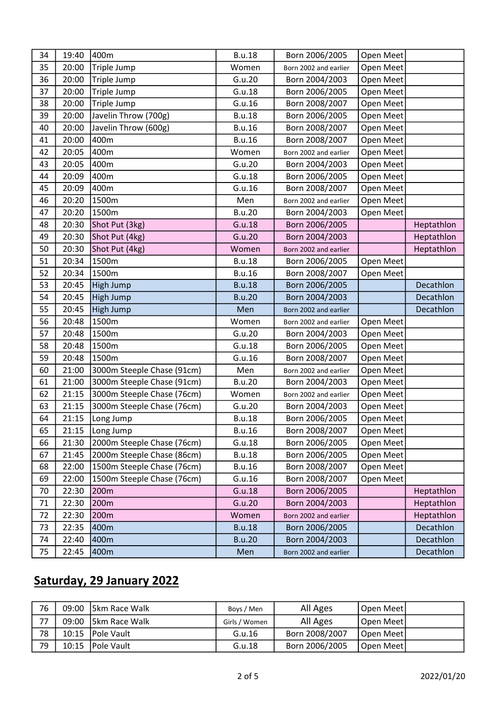| 34 | 19:40 | 400m                       | <b>B.u.18</b> | Born 2006/2005        | Open Meet |            |
|----|-------|----------------------------|---------------|-----------------------|-----------|------------|
| 35 | 20:00 | Triple Jump                | Women         | Born 2002 and earlier | Open Meet |            |
| 36 | 20:00 | Triple Jump                | G.u.20        | Born 2004/2003        | Open Meet |            |
| 37 | 20:00 | Triple Jump                | G.u.18        | Born 2006/2005        | Open Meet |            |
| 38 | 20:00 | Triple Jump                | G.u.16        | Born 2008/2007        | Open Meet |            |
| 39 | 20:00 | Javelin Throw (700g)       | <b>B.u.18</b> | Born 2006/2005        | Open Meet |            |
| 40 | 20:00 | Javelin Throw (600g)       | <b>B.u.16</b> | Born 2008/2007        | Open Meet |            |
| 41 | 20:00 | 400m                       | <b>B.u.16</b> | Born 2008/2007        | Open Meet |            |
| 42 | 20:05 | 400m                       | Women         | Born 2002 and earlier | Open Meet |            |
| 43 | 20:05 | 400m                       | G.u.20        | Born 2004/2003        | Open Meet |            |
| 44 | 20:09 | 400m                       | G.u.18        | Born 2006/2005        | Open Meet |            |
| 45 | 20:09 | 400m                       | G.u.16        | Born 2008/2007        | Open Meet |            |
| 46 | 20:20 | 1500m                      | Men           | Born 2002 and earlier | Open Meet |            |
| 47 | 20:20 | 1500m                      | <b>B.u.20</b> | Born 2004/2003        | Open Meet |            |
| 48 | 20:30 | Shot Put (3kg)             | G.u.18        | Born 2006/2005        |           | Heptathlon |
| 49 | 20:30 | Shot Put (4kg)             | G.u.20        | Born 2004/2003        |           | Heptathlon |
| 50 | 20:30 | Shot Put (4kg)             | Women         | Born 2002 and earlier |           | Heptathlon |
| 51 | 20:34 | 1500m                      | <b>B.u.18</b> | Born 2006/2005        | Open Meet |            |
| 52 | 20:34 | 1500m                      | <b>B.u.16</b> | Born 2008/2007        | Open Meet |            |
| 53 | 20:45 | High Jump                  | <b>B.u.18</b> | Born 2006/2005        |           | Decathlon  |
| 54 | 20:45 | High Jump                  | <b>B.u.20</b> | Born 2004/2003        |           | Decathlon  |
| 55 | 20:45 | High Jump                  | Men           | Born 2002 and earlier |           | Decathlon  |
| 56 | 20:48 | 1500m                      | Women         | Born 2002 and earlier | Open Meet |            |
| 57 | 20:48 | 1500m                      | G.u.20        | Born 2004/2003        | Open Meet |            |
| 58 | 20:48 | 1500m                      | G.u.18        | Born 2006/2005        | Open Meet |            |
| 59 | 20:48 | 1500m                      | G.u.16        | Born 2008/2007        | Open Meet |            |
| 60 | 21:00 | 3000m Steeple Chase (91cm) | Men           | Born 2002 and earlier | Open Meet |            |
| 61 | 21:00 | 3000m Steeple Chase (91cm) | <b>B.u.20</b> | Born 2004/2003        | Open Meet |            |
| 62 | 21:15 | 3000m Steeple Chase (76cm) | Women         | Born 2002 and earlier | Open Meet |            |
| 63 | 21:15 | 3000m Steeple Chase (76cm) | G.u.20        | Born 2004/2003        | Open Meet |            |
| 64 | 21:15 | Long Jump                  | <b>B.u.18</b> | Born 2006/2005        | Open Meet |            |
| 65 | 21:15 | Long Jump                  | <b>B.u.16</b> | Born 2008/2007        | Open Meet |            |
| 66 | 21:30 | 2000m Steeple Chase (76cm) | G.u.18        | Born 2006/2005        | Open Meet |            |
| 67 | 21:45 | 2000m Steeple Chase (86cm) | <b>B.u.18</b> | Born 2006/2005        | Open Meet |            |
| 68 | 22:00 | 1500m Steeple Chase (76cm) | <b>B.u.16</b> | Born 2008/2007        | Open Meet |            |
| 69 | 22:00 | 1500m Steeple Chase (76cm) | G.u.16        | Born 2008/2007        | Open Meet |            |
| 70 | 22:30 | 200m                       | G.u.18        | Born 2006/2005        |           | Heptathlon |
| 71 | 22:30 | 200m                       | G.u.20        | Born 2004/2003        |           | Heptathlon |
| 72 | 22:30 | 200m                       | Women         | Born 2002 and earlier |           | Heptathlon |
| 73 | 22:35 | 400m                       | <b>B.u.18</b> | Born 2006/2005        |           | Decathlon  |
|    |       |                            |               |                       |           |            |
| 74 | 22:40 | 400m                       | <b>B.u.20</b> | Born 2004/2003        |           | Decathlon  |

## Saturday, 29 January 2022

| 76 | 09:00 | <b>Skm Race Walk</b> | Boys / Men    | All Ages       | Open Meet |  |
|----|-------|----------------------|---------------|----------------|-----------|--|
| 77 | 09:00 | <b>Skm Race Walk</b> | Girls / Women | All Ages       | Open Meet |  |
| 78 |       | 10:15   Pole Vault   | G.u.16        | Born 2008/2007 | Open Meet |  |
| 79 | 10:15 | <b>IPole Vault</b>   | G.u.18        | Born 2006/2005 | Open Meet |  |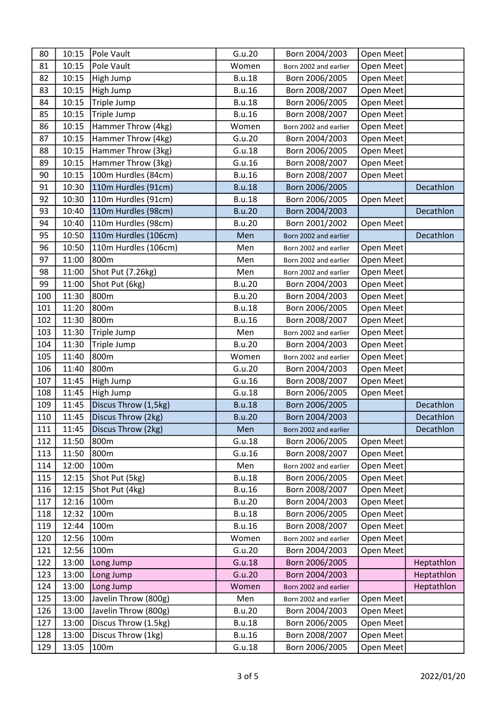| 80  | 10:15 | Pole Vault           | G.u.20        | Born 2004/2003        | Open Meet |            |
|-----|-------|----------------------|---------------|-----------------------|-----------|------------|
| 81  | 10:15 | Pole Vault           | Women         | Born 2002 and earlier | Open Meet |            |
| 82  | 10:15 | High Jump            | <b>B.u.18</b> | Born 2006/2005        | Open Meet |            |
| 83  | 10:15 | High Jump            | <b>B.u.16</b> | Born 2008/2007        | Open Meet |            |
| 84  | 10:15 | Triple Jump          | <b>B.u.18</b> | Born 2006/2005        | Open Meet |            |
| 85  | 10:15 | Triple Jump          | <b>B.u.16</b> | Born 2008/2007        | Open Meet |            |
| 86  | 10:15 | Hammer Throw (4kg)   | Women         | Born 2002 and earlier | Open Meet |            |
| 87  | 10:15 | Hammer Throw (4kg)   | G.u.20        | Born 2004/2003        | Open Meet |            |
| 88  | 10:15 | Hammer Throw (3kg)   | G.u.18        | Born 2006/2005        | Open Meet |            |
| 89  | 10:15 | Hammer Throw (3kg)   | G.u.16        | Born 2008/2007        | Open Meet |            |
| 90  | 10:15 | 100m Hurdles (84cm)  | <b>B.u.16</b> | Born 2008/2007        | Open Meet |            |
| 91  | 10:30 | 110m Hurdles (91cm)  | <b>B.u.18</b> | Born 2006/2005        |           | Decathlon  |
| 92  | 10:30 | 110m Hurdles (91cm)  | <b>B.u.18</b> | Born 2006/2005        | Open Meet |            |
| 93  | 10:40 | 110m Hurdles (98cm)  | <b>B.u.20</b> | Born 2004/2003        |           | Decathlon  |
| 94  | 10:40 | 110m Hurdles (98cm)  | <b>B.u.20</b> | Born 2001/2002        | Open Meet |            |
| 95  | 10:50 | 110m Hurdles (106cm) | Men           | Born 2002 and earlier |           | Decathlon  |
| 96  | 10:50 | 110m Hurdles (106cm) | Men           | Born 2002 and earlier | Open Meet |            |
| 97  | 11:00 | 800m                 | Men           | Born 2002 and earlier | Open Meet |            |
| 98  | 11:00 | Shot Put (7.26kg)    | Men           | Born 2002 and earlier | Open Meet |            |
| 99  | 11:00 | Shot Put (6kg)       | <b>B.u.20</b> | Born 2004/2003        | Open Meet |            |
| 100 | 11:30 | 800m                 | <b>B.u.20</b> | Born 2004/2003        | Open Meet |            |
| 101 | 11:20 | 800m                 | <b>B.u.18</b> | Born 2006/2005        | Open Meet |            |
| 102 | 11:30 | 800m                 | <b>B.u.16</b> | Born 2008/2007        | Open Meet |            |
| 103 | 11:30 | Triple Jump          | Men           | Born 2002 and earlier | Open Meet |            |
| 104 | 11:30 | Triple Jump          | <b>B.u.20</b> | Born 2004/2003        | Open Meet |            |
| 105 | 11:40 | 800m                 | Women         | Born 2002 and earlier | Open Meet |            |
| 106 | 11:40 | 800m                 | G.u.20        | Born 2004/2003        | Open Meet |            |
| 107 | 11:45 | High Jump            | G.u.16        | Born 2008/2007        | Open Meet |            |
| 108 | 11:45 | High Jump            | G.u.18        | Born 2006/2005        | Open Meet |            |
| 109 | 11:45 | Discus Throw (1,5kg) | <b>B.u.18</b> | Born 2006/2005        |           | Decathlon  |
| 110 | 11:45 | Discus Throw (2kg)   | <b>B.u.20</b> | Born 2004/2003        |           | Decathlon  |
| 111 | 11:45 | Discus Throw (2kg)   | Men           | Born 2002 and earlier |           | Decathlon  |
| 112 | 11:50 | 800m                 | G.u.18        | Born 2006/2005        | Open Meet |            |
| 113 | 11:50 | 800m                 | G.u.16        | Born 2008/2007        | Open Meet |            |
| 114 | 12:00 | 100m                 | Men           | Born 2002 and earlier | Open Meet |            |
| 115 | 12:15 | Shot Put (5kg)       | <b>B.u.18</b> | Born 2006/2005        | Open Meet |            |
| 116 | 12:15 | Shot Put (4kg)       | <b>B.u.16</b> | Born 2008/2007        | Open Meet |            |
| 117 | 12:16 | 100m                 | <b>B.u.20</b> | Born 2004/2003        | Open Meet |            |
| 118 | 12:32 | 100m                 | <b>B.u.18</b> | Born 2006/2005        | Open Meet |            |
| 119 | 12:44 | 100m                 | <b>B.u.16</b> | Born 2008/2007        | Open Meet |            |
| 120 | 12:56 | 100m                 | Women         | Born 2002 and earlier | Open Meet |            |
| 121 | 12:56 | 100m                 | G.u.20        | Born 2004/2003        | Open Meet |            |
| 122 | 13:00 | Long Jump            | G.u.18        | Born 2006/2005        |           | Heptathlon |
| 123 | 13:00 | Long Jump            | G.u.20        | Born 2004/2003        |           | Heptathlon |
| 124 | 13:00 | Long Jump            | Women         | Born 2002 and earlier |           | Heptathlon |
| 125 | 13:00 | Javelin Throw (800g) | Men           | Born 2002 and earlier | Open Meet |            |
| 126 | 13:00 | Javelin Throw (800g) | <b>B.u.20</b> | Born 2004/2003        | Open Meet |            |
| 127 | 13:00 | Discus Throw (1.5kg) | <b>B.u.18</b> | Born 2006/2005        | Open Meet |            |
| 128 | 13:00 | Discus Throw (1kg)   | <b>B.u.16</b> | Born 2008/2007        | Open Meet |            |
| 129 | 13:05 | 100m                 | G.u.18        | Born 2006/2005        | Open Meet |            |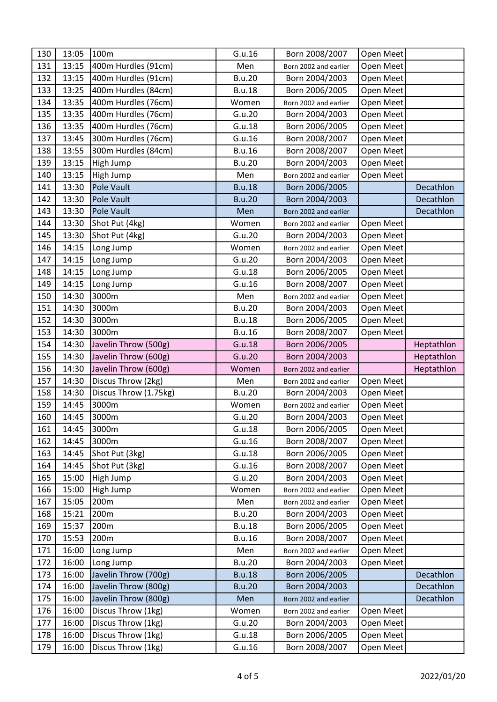| 130        | 13:05          | 100m                                     | G.u.16           | Born 2008/2007                   | Open Meet              |            |
|------------|----------------|------------------------------------------|------------------|----------------------------------|------------------------|------------|
| 131        | 13:15          | 400m Hurdles (91cm)                      | Men              | Born 2002 and earlier            | Open Meet              |            |
| 132        | 13:15          | 400m Hurdles (91cm)                      | <b>B.u.20</b>    | Born 2004/2003                   | Open Meet              |            |
| 133        | 13:25          | 400m Hurdles (84cm)                      | <b>B.u.18</b>    | Born 2006/2005                   | Open Meet              |            |
| 134        | 13:35          | 400m Hurdles (76cm)                      | Women            | Born 2002 and earlier            | Open Meet              |            |
| 135        | 13:35          | 400m Hurdles (76cm)                      | G.u.20           | Born 2004/2003                   | Open Meet              |            |
| 136        | 13:35          | 400m Hurdles (76cm)                      | G.u.18           | Born 2006/2005                   | Open Meet              |            |
| 137        | 13:45          | 300m Hurdles (76cm)                      | G.u.16           | Born 2008/2007                   | Open Meet              |            |
| 138        | 13:55          | 300m Hurdles (84cm)                      | <b>B.u.16</b>    | Born 2008/2007                   | Open Meet              |            |
| 139        | 13:15          | High Jump                                | <b>B.u.20</b>    | Born 2004/2003                   | Open Meet              |            |
| 140        | 13:15          | High Jump                                | Men              | Born 2002 and earlier            | Open Meet              |            |
| 141        | 13:30          | Pole Vault                               | <b>B.u.18</b>    | Born 2006/2005                   |                        | Decathlon  |
| 142        | 13:30          | Pole Vault                               | <b>B.u.20</b>    | Born 2004/2003                   |                        | Decathlon  |
| 143        | 13:30          | <b>Pole Vault</b>                        | Men              | Born 2002 and earlier            |                        | Decathlon  |
| 144        | 13:30          | Shot Put (4kg)                           | Women            | Born 2002 and earlier            | Open Meet              |            |
| 145        | 13:30          | Shot Put (4kg)                           | G.u.20           | Born 2004/2003                   | Open Meet              |            |
| 146        | 14:15          | Long Jump                                | Women            | Born 2002 and earlier            | Open Meet              |            |
| 147        | 14:15          | Long Jump                                | G.u.20           | Born 2004/2003                   | Open Meet              |            |
| 148        | 14:15          | Long Jump                                | G.u.18           | Born 2006/2005                   | Open Meet              |            |
| 149        | 14:15          | Long Jump                                | G.u.16           | Born 2008/2007                   | Open Meet              |            |
| 150        | 14:30          | 3000m                                    | Men              | Born 2002 and earlier            | Open Meet              |            |
| 151        | 14:30          | 3000m                                    | <b>B.u.20</b>    | Born 2004/2003                   | Open Meet              |            |
| 152        | 14:30          | 3000m                                    | <b>B.u.18</b>    | Born 2006/2005                   | Open Meet              |            |
| 153        | 14:30          | 3000m                                    | <b>B.u.16</b>    | Born 2008/2007                   | Open Meet              |            |
| 154        | 14:30          | Javelin Throw (500g)                     | G.u.18           | Born 2006/2005                   |                        | Heptathlon |
| 155        | 14:30          | Javelin Throw (600g)                     | G.u.20           | Born 2004/2003                   |                        | Heptathlon |
| 156        | 14:30          | Javelin Throw (600g)                     | Women            | Born 2002 and earlier            |                        | Heptathlon |
| 157        | 14:30          | Discus Throw (2kg)                       | Men              | Born 2002 and earlier            | Open Meet              |            |
| 158        | 14:30          | Discus Throw (1.75kg)                    | <b>B.u.20</b>    | Born 2004/2003                   | Open Meet              |            |
| 159        | 14:45          | 3000m                                    | Women            | Born 2002 and earlier            | Open Meet              |            |
| 160        | 14:45          | 3000m                                    | G.u.20           | Born 2004/2003                   | Open Meet              |            |
| 161        | 14:45          | 3000m                                    | G.u.18           | Born 2006/2005                   | Open Meet              |            |
| 162        | 14:45          | 3000m                                    | G.u.16           | Born 2008/2007                   | Open Meet              |            |
| 163        | 14:45          | Shot Put (3kg)                           | G.u.18           | Born 2006/2005                   | Open Meet              |            |
| 164        | 14:45          | Shot Put (3kg)                           | G.u.16           | Born 2008/2007                   | Open Meet              |            |
| 165        | 15:00          | High Jump                                | G.u.20           | Born 2004/2003                   | Open Meet              |            |
| 166        | 15:00          | High Jump                                | Women            | Born 2002 and earlier            | Open Meet              |            |
| 167        | 15:05          | 200m                                     | Men              | Born 2002 and earlier            | Open Meet              |            |
| 168        | 15:21          | 200m                                     | <b>B.u.20</b>    | Born 2004/2003                   | Open Meet              |            |
| 169        | 15:37          | 200m                                     | <b>B.u.18</b>    | Born 2006/2005                   | Open Meet              |            |
| 170        |                | 200m                                     |                  |                                  |                        |            |
| 171        | 15:53          |                                          | <b>B.u.16</b>    | Born 2008/2007                   | Open Meet              |            |
| 172        | 16:00          | Long Jump                                | Men              | Born 2002 and earlier            | Open Meet              |            |
|            | 16:00          | Long Jump                                | <b>B.u.20</b>    | Born 2004/2003                   | Open Meet              |            |
| 173        | 16:00          | Javelin Throw (700g)                     | <b>B.u.18</b>    | Born 2006/2005                   |                        | Decathlon  |
| 174        | 16:00          | Javelin Throw (800g)                     | <b>B.u.20</b>    | Born 2004/2003                   |                        | Decathlon  |
| 175        | 16:00          | Javelin Throw (800g)                     | Men              | Born 2002 and earlier            |                        | Decathlon  |
| 176        | 16:00          | Discus Throw (1kg)                       | Women            | Born 2002 and earlier            | Open Meet              |            |
| 177        | 16:00          | Discus Throw (1kg)                       | G.u.20           | Born 2004/2003                   | Open Meet              |            |
| 178<br>179 | 16:00<br>16:00 | Discus Throw (1kg)<br>Discus Throw (1kg) | G.u.18<br>G.u.16 | Born 2006/2005<br>Born 2008/2007 | Open Meet<br>Open Meet |            |